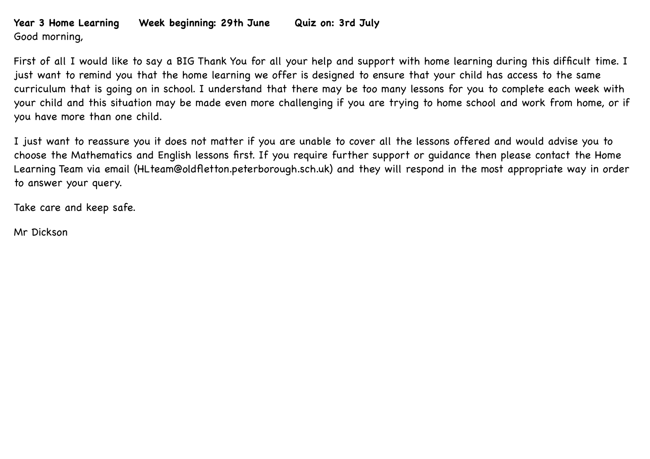## **Year 3 Home Learning Week beginning: 29th June Quiz on: 3rd July** Good morning,

First of all I would like to say a BIG Thank You for all your help and support with home learning during this difficult time. I just want to remind you that the home learning we offer is designed to ensure that your child has access to the same curriculum that is going on in school. I understand that there may be too many lessons for you to complete each week with your child and this situation may be made even more challenging if you are trying to home school and work from home, or if you have more than one child.

I just want to reassure you it does not matter if you are unable to cover all the lessons offered and would advise you to choose the Mathematics and English lessons first. If you require further support or guidance then please contact the Home Learning Team via email (HLteam@oldfletton.peterborough.sch.uk) and they will respond in the most appropriate way in order to answer your query.

Take care and keep safe.

Mr Dickson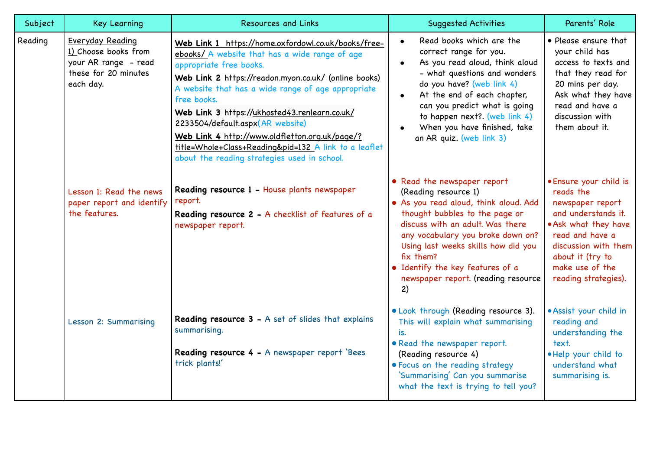| Subject | <b>Key Learning</b>                                                                                   | <b>Resources and Links</b>                                                                                                                                                                                                                                                                                                                                                                                                                                                                                    | <b>Suggested Activities</b>                                                                                                                                                                                                                                                                                                                          | Parents' Role                                                                                                                                                                                                    |
|---------|-------------------------------------------------------------------------------------------------------|---------------------------------------------------------------------------------------------------------------------------------------------------------------------------------------------------------------------------------------------------------------------------------------------------------------------------------------------------------------------------------------------------------------------------------------------------------------------------------------------------------------|------------------------------------------------------------------------------------------------------------------------------------------------------------------------------------------------------------------------------------------------------------------------------------------------------------------------------------------------------|------------------------------------------------------------------------------------------------------------------------------------------------------------------------------------------------------------------|
| Reading | Everyday Reading<br>1) Choose books from<br>your AR range - read<br>these for 20 minutes<br>each day. | Web Link 1 https://home.oxfordowl.co.uk/books/free-<br>ebooks/ A website that has a wide range of age<br>appropriate free books.<br>Web Link 2 https://readon.myon.co.uk/ (online books)<br>A website that has a wide range of age appropriate<br>free books.<br>Web Link 3 https://ukhosted43.renlearn.co.uk/<br>2233504/default.aspx(AR website)<br>Web Link 4 http://www.oldfletton.org.uk/page/?<br>title=Whole+Class+Reading&pid=132 A link to a leaflet<br>about the reading strategies used in school. | Read books which are the<br>$\bullet$<br>correct range for you.<br>As you read aloud, think aloud<br>$\bullet$<br>- what questions and wonders<br>do you have? (web link 4)<br>At the end of each chapter,<br>$\bullet$<br>can you predict what is going<br>to happen next? (web link 4)<br>When you have finished, take<br>an AR quiz. (web link 3) | • Please ensure that<br>your child has<br>access to texts and<br>that they read for<br>20 mins per day.<br>Ask what they have<br>read and have a<br>discussion with<br>them about it.                            |
|         | Lesson 1: Read the news<br>paper report and identify<br>the features.                                 | Reading resource 1 - House plants newspaper<br>report.<br>Reading resource 2 - A checklist of features of a<br>newspaper report.                                                                                                                                                                                                                                                                                                                                                                              | • Read the newspaper report<br>(Reading resource 1)<br>. As you read aloud, think aloud. Add<br>thought bubbles to the page or<br>discuss with an adult. Was there<br>any vocabulary you broke down on?<br>Using last weeks skills how did you<br>fix them?<br>• Identify the key features of a<br>newspaper report. (reading resource<br>2)         | · Ensure your child is<br>reads the<br>newspaper report<br>and understands it.<br>. Ask what they have<br>read and have a<br>discussion with them<br>about it (try to<br>make use of the<br>reading strategies). |
|         | Lesson 2: Summarising                                                                                 | Reading resource 3 - A set of slides that explains<br>summarising.<br>Reading resource 4 - A newspaper report 'Bees<br>trick plants!'                                                                                                                                                                                                                                                                                                                                                                         | . Look through (Reading resource 3).<br>This will explain what summarising<br>is.<br>• Read the newspaper report.<br>(Reading resource 4)<br>• Focus on the reading strategy<br>'Summarising' Can you summarise<br>what the text is trying to tell you?                                                                                              | · Assist your child in<br>reading and<br>understanding the<br>text.<br>. Help your child to<br>understand what<br>summarising is.                                                                                |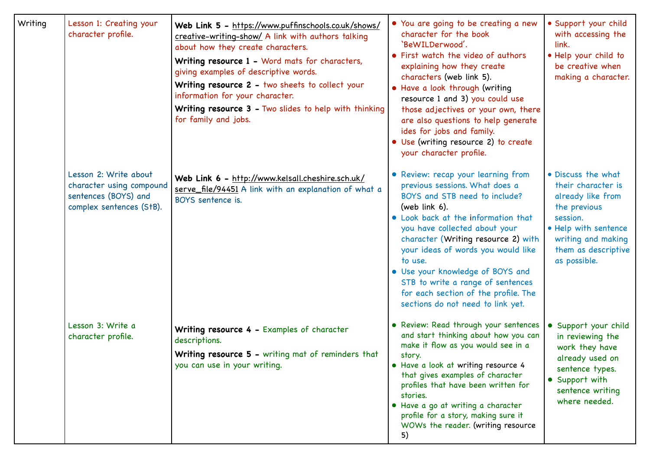| Writing | Lesson 1: Creating your<br>character profile.                                                         | Web Link 5 - https://www.puffinschools.co.uk/shows/<br>creative-writing-show/ A link with authors talking<br>about how they create characters.<br>Writing resource 1 - Word mats for characters,<br>giving examples of descriptive words.<br>Writing resource 2 - two sheets to collect your<br>information for your character.<br>Writing resource 3 - Two slides to help with thinking<br>for family and jobs. | • You are going to be creating a new<br>character for the book<br>'BeWILDerwood'.<br>• First watch the video of authors<br>explaining how they create<br>characters (web link 5).<br>• Have a look through (writing<br>resource 1 and 3) you could use<br>those adjectives or your own, there<br>are also questions to help generate<br>ides for jobs and family.<br>• Use (writing resource 2) to create<br>your character profile.            | · Support your child<br>with accessing the<br>link.<br>. Help your child to<br>be creative when<br>making a character.                                                         |
|---------|-------------------------------------------------------------------------------------------------------|------------------------------------------------------------------------------------------------------------------------------------------------------------------------------------------------------------------------------------------------------------------------------------------------------------------------------------------------------------------------------------------------------------------|-------------------------------------------------------------------------------------------------------------------------------------------------------------------------------------------------------------------------------------------------------------------------------------------------------------------------------------------------------------------------------------------------------------------------------------------------|--------------------------------------------------------------------------------------------------------------------------------------------------------------------------------|
|         | Lesson 2: Write about<br>character using compound<br>sentences (BOYS) and<br>complex sentences (StB). | Web Link 6 - http://www.kelsall.cheshire.sch.uk/<br>serve_file/94451 A link with an explanation of what a<br>BOYS sentence is.                                                                                                                                                                                                                                                                                   | • Review: recap your learning from<br>previous sessions. What does a<br>BOYS and STB need to include?<br>(web link $6$ ).<br>• Look back at the information that<br>you have collected about your<br>character (Writing resource 2) with<br>your ideas of words you would like<br>to use.<br>• Use your knowledge of BOYS and<br>STB to write a range of sentences<br>for each section of the profile. The<br>sections do not need to link yet. | • Discuss the what<br>their character is<br>already like from<br>the previous<br>session.<br>• Help with sentence<br>writing and making<br>them as descriptive<br>as possible. |
|         | Lesson 3: Write a<br>character profile.                                                               | Writing resource 4 - Examples of character<br>descriptions.<br>Writing resource 5 - writing mat of reminders that<br>you can use in your writing.                                                                                                                                                                                                                                                                | • Review: Read through your sentences<br>and start thinking about how you can<br>make it flow as you would see in a<br>story.<br>• Have a look at writing resource 4<br>that gives examples of character<br>profiles that have been written for<br>stories.<br>• Have a go at writing a character<br>profile for a story, making sure it<br>WOWs the reader. (writing resource<br>5)                                                            | • Support your child<br>in reviewing the<br>work they have<br>already used on<br>sentence types.<br>• Support with<br>sentence writing<br>where needed.                        |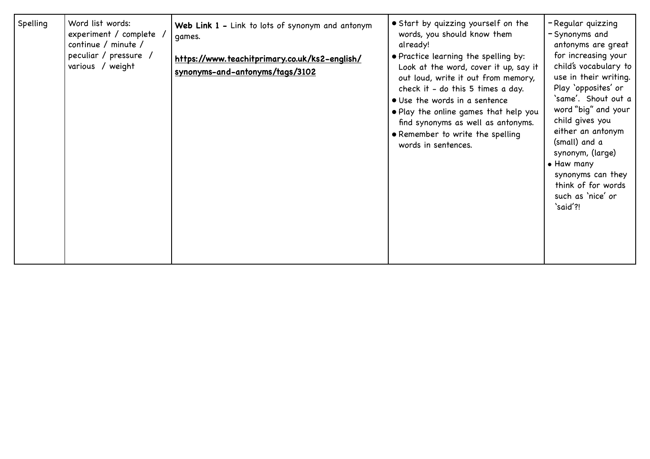| Spelling | Word list words:<br>experiment / complete<br>continue / minute /<br>peculiar / pressure /<br>various / weight | Web Link 1 - Link to lots of synonym and antonym<br>qames.<br>https://www.teachitprimary.co.uk/ks2-english/<br>synonyms-and-antonyms/tags/3102 | • Start by quizzing yourself on the<br>words, you should know them<br>already!<br>• Practice learning the spelling by:<br>Look at the word, cover it up, say it<br>out loud, write it out from memory,<br>check it - do this 5 times a day.<br>• Use the words in a sentence<br>. Play the online games that help you<br>find synonyms as well as antonyms.<br>• Remember to write the spelling<br>words in sentences. | -Regular quizzing<br>-Synonyms and<br>antonyms are great<br>for increasing your<br>child's vocabulary to<br>use in their writing.<br>Play 'opposites' or<br>`same'. Shout out a<br>word "big" and your<br>child gives you<br>either an antonym<br>(small) and a<br>synonym, (large)<br>• Haw many<br>synonyms can they<br>think of for words<br>such as 'nice' or<br>'said'?! |
|----------|---------------------------------------------------------------------------------------------------------------|------------------------------------------------------------------------------------------------------------------------------------------------|------------------------------------------------------------------------------------------------------------------------------------------------------------------------------------------------------------------------------------------------------------------------------------------------------------------------------------------------------------------------------------------------------------------------|-------------------------------------------------------------------------------------------------------------------------------------------------------------------------------------------------------------------------------------------------------------------------------------------------------------------------------------------------------------------------------|
|----------|---------------------------------------------------------------------------------------------------------------|------------------------------------------------------------------------------------------------------------------------------------------------|------------------------------------------------------------------------------------------------------------------------------------------------------------------------------------------------------------------------------------------------------------------------------------------------------------------------------------------------------------------------------------------------------------------------|-------------------------------------------------------------------------------------------------------------------------------------------------------------------------------------------------------------------------------------------------------------------------------------------------------------------------------------------------------------------------------|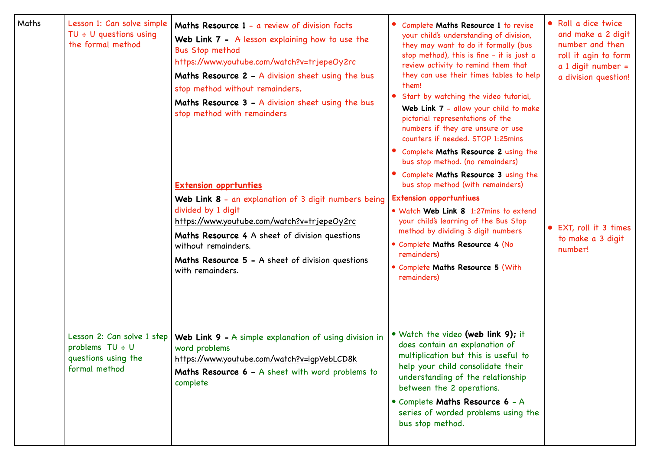| Maths | Lesson 1: Can solve simple<br>TU $\div$ U questions using<br>the formal method | Maths Resource 1 - a review of division facts<br>Web Link 7 - A lesson explaining how to use the<br><b>Bus Stop method</b><br>https://www.youtube.com/watch?v=trjepeOy2rc<br>Maths Resource 2 - A division sheet using the bus<br>stop method without remainders.<br>Maths Resource 3 - A division sheet using the bus<br>stop method with remainders<br><b>Extension opprtunties</b><br>Web Link 8 - an explanation of 3 digit numbers being<br>divided by 1 digit<br>https://www.youtube.com/watch?v=trjepeOy2rc<br>Maths Resource 4 A sheet of division questions<br>without remainders.<br>Maths Resource 5 - A sheet of division questions<br>with remainders. | Complete Maths Resource 1 to revise<br>your child's understanding of division,<br>they may want to do it formally (bus<br>stop method), this is fine - it is just a<br>review activity to remind them that<br>they can use their times tables to help<br>them!<br>Start by watching the video tutorial,<br>Web Link 7 - allow your child to make<br>pictorial representations of the<br>numbers if they are unsure or use<br>counters if needed. STOP 1:25mins<br>• Complete Maths Resource 2 using the<br>bus stop method. (no remainders)<br>• Complete Maths Resource 3 using the<br>bus stop method (with remainders)<br><b>Extension opportuntiues</b><br>. Watch Web Link 8 1:27mins to extend<br>your child's learning of the Bus Stop<br>method by dividing 3 digit numbers<br>• Complete Maths Resource 4 (No<br>remainders)<br>• Complete Maths Resource 5 (With<br>remainders) | • Roll a dice twice<br>and make a 2 digit<br>number and then<br>roll it agin to form<br>$a$ 1 digit number =<br>a division question!<br>• EXT, roll it 3 times<br>to make a 3 digit<br>number! |
|-------|--------------------------------------------------------------------------------|---------------------------------------------------------------------------------------------------------------------------------------------------------------------------------------------------------------------------------------------------------------------------------------------------------------------------------------------------------------------------------------------------------------------------------------------------------------------------------------------------------------------------------------------------------------------------------------------------------------------------------------------------------------------|-------------------------------------------------------------------------------------------------------------------------------------------------------------------------------------------------------------------------------------------------------------------------------------------------------------------------------------------------------------------------------------------------------------------------------------------------------------------------------------------------------------------------------------------------------------------------------------------------------------------------------------------------------------------------------------------------------------------------------------------------------------------------------------------------------------------------------------------------------------------------------------------|------------------------------------------------------------------------------------------------------------------------------------------------------------------------------------------------|
|       | problems $TU + U$<br>questions using the<br>formal method                      | Lesson 2: Can solve 1 step   Web Link 9 - A simple explanation of using division in<br>word problems<br>https://www.youtube.com/watch?v=igpVebLCD8k<br>Maths Resource 6 - A sheet with word problems to<br>complete                                                                                                                                                                                                                                                                                                                                                                                                                                                 | • Watch the video (web link 9); it<br>does contain an explanation of<br>multiplication but this is useful to<br>help your child consolidate their<br>understanding of the relationship<br>between the 2 operations.<br>• Complete Maths Resource 6 - A<br>series of worded problems using the<br>bus stop method.                                                                                                                                                                                                                                                                                                                                                                                                                                                                                                                                                                         |                                                                                                                                                                                                |